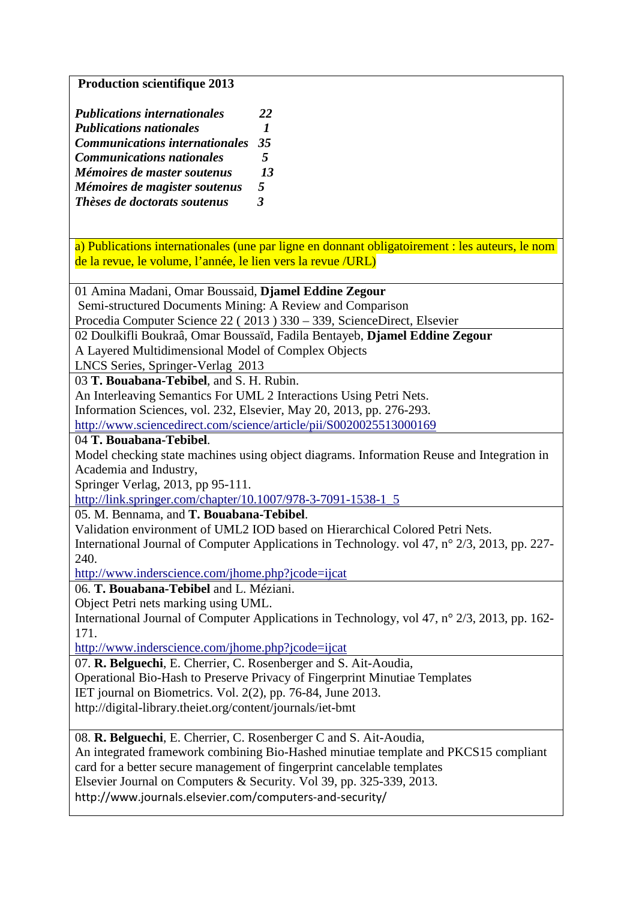**Production scientifique 2013**  *Publications internationales 22 Publications nationales 1 Communications internationales 35 Communications nationales 5 Mémoires de master soutenus 13 Mémoires de magister soutenus 5 Thèses de doctorats soutenus 3*  a) Publications internationales (une par ligne en donnant obligatoirement : les auteurs, le nom de la revue, le volume, l'année, le lien vers la revue /URL) 01 Amina Madani, Omar Boussaid, **Djamel Eddine Zegour** Semi-structured Documents Mining: A Review and Comparison Procedia Computer Science 22 ( 2013 ) 330 – 339, ScienceDirect, Elsevier 02 Doulkifli Boukraâ, Omar Boussaïd, Fadila Bentayeb, **Djamel Eddine Zegour** A Layered Multidimensional Model of Complex Objects LNCS Series, Springer-Verlag 2013 03 **T. Bouabana-Tebibel**, and S. H. Rubin. An Interleaving Semantics For UML 2 Interactions Using Petri Nets. Information Sciences, vol. 232, Elsevier, May 20, 2013, pp. 276-293. http://www.sciencedirect.com/science/article/pii/S0020025513000169 04 **T. Bouabana-Tebibel**. Model checking state machines using object diagrams. Information Reuse and Integration in Academia and Industry, Springer Verlag, 2013, pp 95-111. http://link.springer.com/chapter/10.1007/978-3-7091-1538-1\_5 05. M. Bennama, and **T. Bouabana-Tebibel**. Validation environment of UML2 IOD based on Hierarchical Colored Petri Nets. International Journal of Computer Applications in Technology. vol 47, n° 2/3, 2013, pp. 227- 240. http://www.inderscience.com/jhome.php?jcode=ijcat 06. **T. Bouabana-Tebibel** and L. Méziani. Object Petri nets marking using UML. International Journal of Computer Applications in Technology, vol 47, n° 2/3, 2013, pp. 162- 171. http://www.inderscience.com/jhome.php?jcode=ijcat 07. **R. Belguechi**, E. Cherrier, C. Rosenberger and S. Ait-Aoudia, Operational Bio-Hash to Preserve Privacy of Fingerprint Minutiae Templates IET journal on Biometrics. Vol. 2(2), pp. 76-84, June 2013. http://digital-library.theiet.org/content/journals/iet-bmt 08. **R. Belguechi**, E. Cherrier, C. Rosenberger C and S. Ait-Aoudia, An integrated framework combining Bio-Hashed minutiae template and PKCS15 compliant card for a better secure management of fingerprint cancelable templates Elsevier Journal on Computers & Security. Vol 39, pp. 325-339, 2013. http://www.journals.elsevier.com/computers-and-security/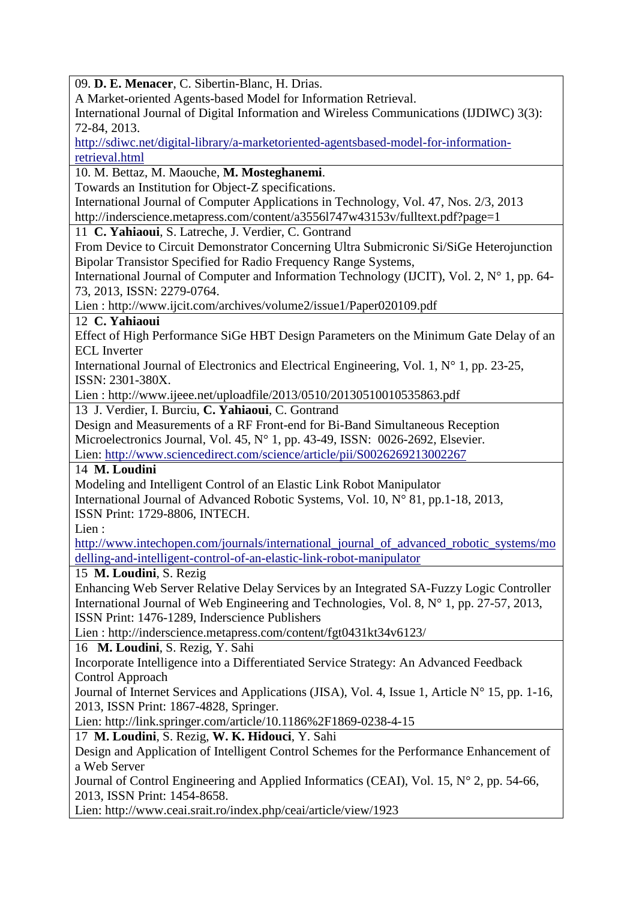09. **D. E. Menacer**, C. Sibertin-Blanc, H. Drias.

A Market-oriented Agents-based Model for Information Retrieval.

International Journal of Digital Information and Wireless Communications (IJDIWC) 3(3): 72-84, 2013.

http://sdiwc.net/digital-library/a-marketoriented-agentsbased-model-for-informationretrieval.html

10. M. Bettaz, M. Maouche, **M. Mosteghanemi**.

Towards an Institution for Object-Z specifications.

International Journal of Computer Applications in Technology, Vol. 47, Nos. 2/3, 2013 http://inderscience.metapress.com/content/a3556l747w43153v/fulltext.pdf?page=1

11 **C. Yahiaoui**, S. Latreche, J. Verdier, C. Gontrand

From Device to Circuit Demonstrator Concerning Ultra Submicronic Si/SiGe Heterojunction Bipolar Transistor Specified for Radio Frequency Range Systems,

International Journal of Computer and Information Technology (IJCIT), Vol. 2,  $N^{\circ}$  1, pp. 64-73, 2013, ISSN: 2279-0764.

Lien : http://www.ijcit.com/archives/volume2/issue1/Paper020109.pdf

#### 12 **C. Yahiaoui**

Effect of High Performance SiGe HBT Design Parameters on the Minimum Gate Delay of an ECL Inverter

International Journal of Electronics and Electrical Engineering, Vol. 1, N° 1, pp. 23-25, ISSN: 2301-380X.

Lien : http://www.ijeee.net/uploadfile/2013/0510/20130510010535863.pdf

13 J. Verdier, I. Burciu, **C. Yahiaoui**, C. Gontrand

Design and Measurements of a RF Front-end for Bi-Band Simultaneous Reception Microelectronics Journal, Vol. 45, N° 1, pp. 43-49, ISSN: 0026-2692, Elsevier.

Lien: http://www.sciencedirect.com/science/article/pii/S0026269213002267

## 14 **M. Loudini**

Modeling and Intelligent Control of an Elastic Link Robot Manipulator International Journal of Advanced Robotic Systems, Vol. 10, N° 81, pp.1-18, 2013, ISSN Print: 1729-8806, INTECH.

Lien :

http://www.intechopen.com/journals/international\_journal\_of\_advanced\_robotic\_systems/mo delling-and-intelligent-control-of-an-elastic-link-robot-manipulator

#### 15 **M. Loudini**, S. Rezig

Enhancing Web Server Relative Delay Services by an Integrated SA-Fuzzy Logic Controller International Journal of Web Engineering and Technologies, Vol. 8, N° 1, pp. 27-57, 2013, ISSN Print: 1476-1289, Inderscience Publishers

Lien : http://inderscience.metapress.com/content/fgt0431kt34v6123/

#### 16 **M. Loudini**, S. Rezig, Y. Sahi

Incorporate Intelligence into a Differentiated Service Strategy: An Advanced Feedback Control Approach

Journal of Internet Services and Applications (JISA), Vol. 4, Issue 1, Article N° 15, pp. 1-16, 2013, ISSN Print: 1867-4828, Springer.

Lien: http://link.springer.com/article/10.1186%2F1869-0238-4-15

#### 17 **M. Loudini**, S. Rezig, **W. K. Hidouci**, Y. Sahi

Design and Application of Intelligent Control Schemes for the Performance Enhancement of a Web Server

Journal of Control Engineering and Applied Informatics (CEAI), Vol. 15, N° 2, pp. 54-66, 2013, ISSN Print: 1454-8658.

Lien: http://www.ceai.srait.ro/index.php/ceai/article/view/1923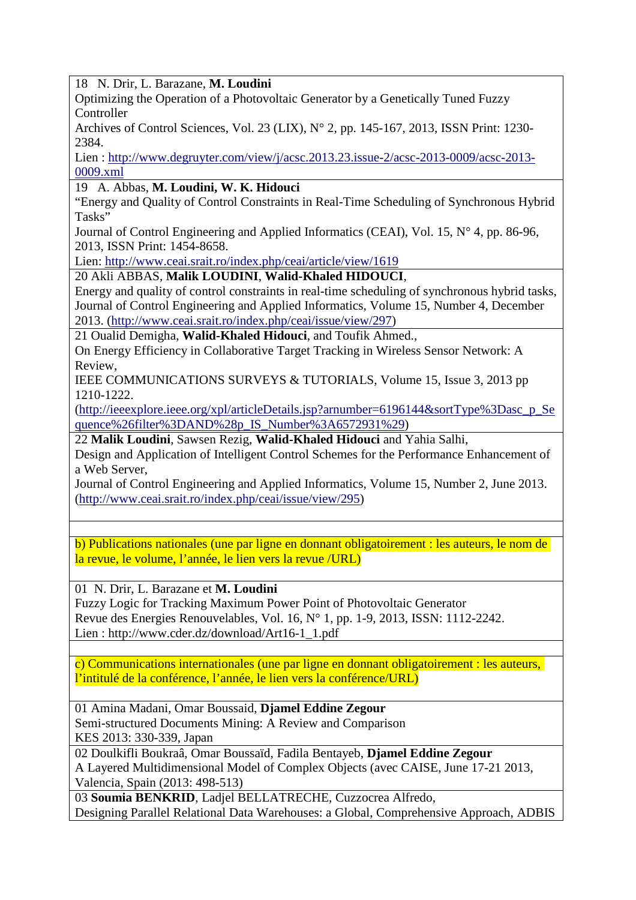18 N. Drir, L. Barazane, **M. Loudini**

Optimizing the Operation of a Photovoltaic Generator by a Genetically Tuned Fuzzy **Controller** 

Archives of Control Sciences, Vol. 23 (LIX), N° 2, pp. 145-167, 2013, ISSN Print: 1230- 2384.

Lien : http://www.degruyter.com/view/j/acsc.2013.23.issue-2/acsc-2013-0009/acsc-2013- 0009.xml

19 A. Abbas, **M. Loudini, W. K. Hidouci**

"Energy and Quality of Control Constraints in Real-Time Scheduling of Synchronous Hybrid Tasks"

Journal of Control Engineering and Applied Informatics (CEAI), Vol. 15, N° 4, pp. 86-96, 2013, ISSN Print: 1454-8658.

Lien: http://www.ceai.srait.ro/index.php/ceai/article/view/1619

20 Akli ABBAS, **Malik LOUDINI**, **Walid-Khaled HIDOUCI**,

Energy and quality of control constraints in real-time scheduling of synchronous hybrid tasks, Journal of Control Engineering and Applied Informatics, Volume 15, Number 4, December 2013. (http://www.ceai.srait.ro/index.php/ceai/issue/view/297)

21 Oualid Demigha, **Walid-Khaled Hidouci**, and Toufik Ahmed.,

On Energy Efficiency in Collaborative Target Tracking in Wireless Sensor Network: A Review,

IEEE COMMUNICATIONS SURVEYS & TUTORIALS, Volume 15, Issue 3, 2013 pp 1210-1222.

(http://ieeexplore.ieee.org/xpl/articleDetails.jsp?arnumber=6196144&sortType%3Dasc\_p\_Se quence%26filter%3DAND%28p\_IS\_Number%3A6572931%29)

22 **Malik Loudini**, Sawsen Rezig, **Walid-Khaled Hidouci** and Yahia Salhi,

Design and Application of Intelligent Control Schemes for the Performance Enhancement of a Web Server,

Journal of Control Engineering and Applied Informatics, Volume 15, Number 2, June 2013. (http://www.ceai.srait.ro/index.php/ceai/issue/view/295)

b) Publications nationales (une par ligne en donnant obligatoirement : les auteurs, le nom de la revue, le volume, l'année, le lien vers la revue /URL)

01 N. Drir, L. Barazane et **M. Loudini**

Fuzzy Logic for Tracking Maximum Power Point of Photovoltaic Generator Revue des Energies Renouvelables, Vol. 16, N° 1, pp. 1-9, 2013, ISSN: 1112-2242. Lien : http://www.cder.dz/download/Art16-1\_1.pdf

c) Communications internationales (une par ligne en donnant obligatoirement : les auteurs, l'intitulé de la conférence, l'année, le lien vers la conférence/URL)

01 Amina Madani, Omar Boussaid, **Djamel Eddine Zegour** Semi-structured Documents Mining: A Review and Comparison KES 2013: 330-339, Japan

02 Doulkifli Boukraâ, Omar Boussaïd, Fadila Bentayeb, **Djamel Eddine Zegour**

A Layered Multidimensional Model of Complex Objects (avec CAISE, June 17-21 2013, Valencia, Spain (2013: 498-513)

03 **Soumia BENKRID**, Ladjel BELLATRECHE, Cuzzocrea Alfredo, Designing Parallel Relational Data Warehouses: a Global, Comprehensive Approach, ADBIS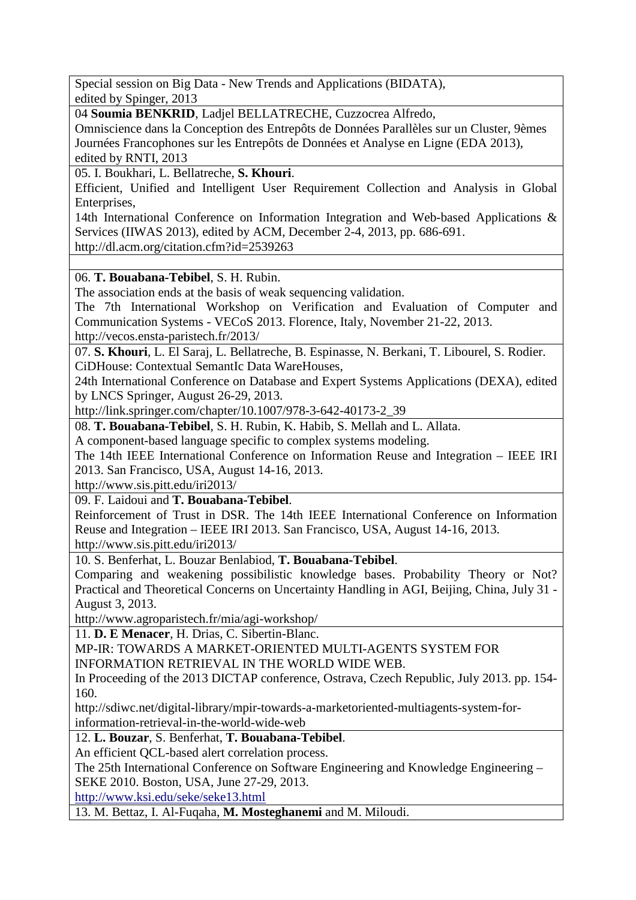Special session on Big Data - New Trends and Applications (BIDATA), edited by Spinger, 2013

04 **Soumia BENKRID**, Ladjel BELLATRECHE, Cuzzocrea Alfredo,

Omniscience dans la Conception des Entrepôts de Données Parallèles sur un Cluster, 9èmes Journées Francophones sur les Entrepôts de Données et Analyse en Ligne (EDA 2013), edited by RNTI, 2013

05. I. Boukhari, L. Bellatreche, **S. Khouri**.

Efficient, Unified and Intelligent User Requirement Collection and Analysis in Global Enterprises,

14th International Conference on Information Integration and Web-based Applications & Services (IIWAS 2013), edited by ACM, December 2-4, 2013, pp. 686-691. http://dl.acm.org/citation.cfm?id=2539263

06. **T. Bouabana-Tebibel**, S. H. Rubin.

The association ends at the basis of weak sequencing validation.

The 7th International Workshop on Verification and Evaluation of Computer and Communication Systems - VECoS 2013. Florence, Italy, November 21-22, 2013.

http://vecos.ensta-paristech.fr/2013/

07. **S. Khouri**, L. El Saraj, L. Bellatreche, B. Espinasse, N. Berkani, T. Libourel, S. Rodier. CiDHouse: Contextual SemantIc Data WareHouses,

24th International Conference on Database and Expert Systems Applications (DEXA), edited by LNCS Springer, August 26-29, 2013.

http://link.springer.com/chapter/10.1007/978-3-642-40173-2\_39

08. **T. Bouabana-Tebibel**, S. H. Rubin, K. Habib, S. Mellah and L. Allata.

A component-based language specific to complex systems modeling.

The 14th IEEE International Conference on Information Reuse and Integration – IEEE IRI 2013. San Francisco, USA, August 14-16, 2013.

http://www.sis.pitt.edu/iri2013/

09. F. Laidoui and **T. Bouabana-Tebibel**.

Reinforcement of Trust in DSR. The 14th IEEE International Conference on Information Reuse and Integration – IEEE IRI 2013. San Francisco, USA, August 14-16, 2013. http://www.sis.pitt.edu/iri2013/

10. S. Benferhat, L. Bouzar Benlabiod, **T. Bouabana-Tebibel**.

Comparing and weakening possibilistic knowledge bases. Probability Theory or Not? Practical and Theoretical Concerns on Uncertainty Handling in AGI, Beijing, China, July 31 - August 3, 2013.

http://www.agroparistech.fr/mia/agi-workshop/

11. **D. E Menacer**, H. Drias, C. Sibertin-Blanc.

MP-IR: TOWARDS A MARKET-ORIENTED MULTI-AGENTS SYSTEM FOR INFORMATION RETRIEVAL IN THE WORLD WIDE WEB.

In Proceeding of the 2013 DICTAP conference, Ostrava, Czech Republic, July 2013. pp. 154- 160.

http://sdiwc.net/digital-library/mpir-towards-a-marketoriented-multiagents-system-forinformation-retrieval-in-the-world-wide-web

12. **L. Bouzar**, S. Benferhat, **T. Bouabana-Tebibel**.

An efficient QCL-based alert correlation process.

The 25th International Conference on Software Engineering and Knowledge Engineering – SEKE 2010. Boston, USA, June 27-29, 2013.

http://www.ksi.edu/seke/seke13.html

13. M. Bettaz, I. Al-Fuqaha, **M. Mosteghanemi** and M. Miloudi.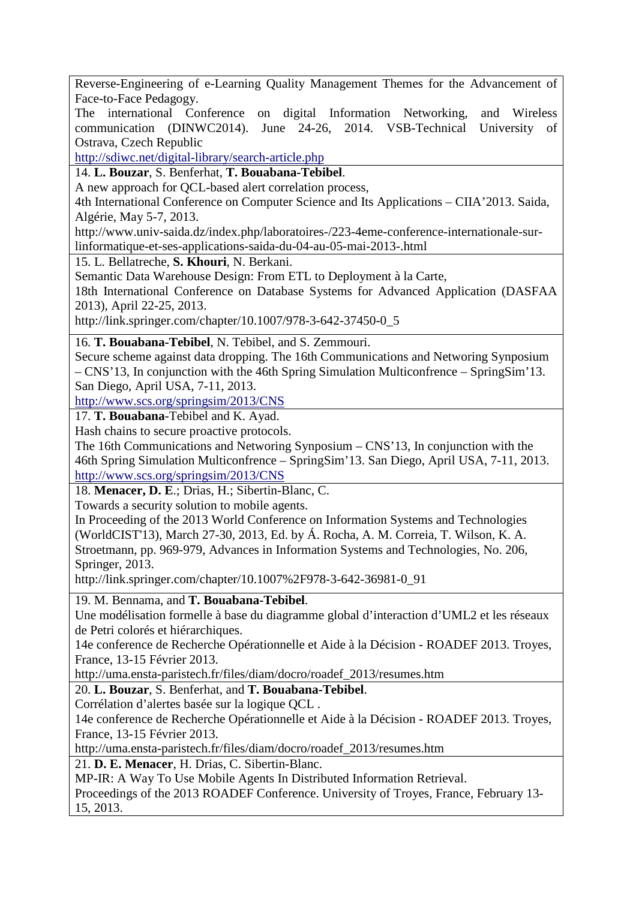Reverse-Engineering of e-Learning Quality Management Themes for the Advancement of Face-to-Face Pedagogy.

The international Conference on digital Information Networking, and Wireless communication (DINWC2014). June 24-26, 2014. VSB-Technical University of Ostrava, Czech Republic

http://sdiwc.net/digital-library/search-article.php

14. **L. Bouzar**, S. Benferhat, **T. Bouabana-Tebibel**.

A new approach for QCL-based alert correlation process,

4th International Conference on Computer Science and Its Applications – CIIA'2013. Saida, Algérie, May 5-7, 2013.

http://www.univ-saida.dz/index.php/laboratoires-/223-4eme-conference-internationale-surlinformatique-et-ses-applications-saida-du-04-au-05-mai-2013-.html

15. L. Bellatreche, **S. Khouri**, N. Berkani.

Semantic Data Warehouse Design: From ETL to Deployment à la Carte,

18th International Conference on Database Systems for Advanced Application (DASFAA 2013), April 22-25, 2013.

http://link.springer.com/chapter/10.1007/978-3-642-37450-0\_5

16. **T. Bouabana-Tebibel**, N. Tebibel, and S. Zemmouri.

Secure scheme against data dropping. The 16th Communications and Networing Synposium – CNS'13, In conjunction with the 46th Spring Simulation Multiconfrence – SpringSim'13. San Diego, April USA, 7-11, 2013.

http://www.scs.org/springsim/2013/CNS

17. **T. Bouabana**-Tebibel and K. Ayad.

Hash chains to secure proactive protocols.

The 16th Communications and Networing Synposium – CNS'13, In conjunction with the 46th Spring Simulation Multiconfrence – SpringSim'13. San Diego, April USA, 7-11, 2013. http://www.scs.org/springsim/2013/CNS

18. **Menacer, D. E**.; Drias, H.; Sibertin-Blanc, C.

Towards a security solution to mobile agents.

In Proceeding of the 2013 World Conference on Information Systems and Technologies (WorldCIST'13), March 27-30, 2013, Ed. by Á. Rocha, A. M. Correia, T. Wilson, K. A. Stroetmann, pp. 969-979, Advances in Information Systems and Technologies, No. 206, Springer, 2013.

http://link.springer.com/chapter/10.1007%2F978-3-642-36981-0\_91

19. M. Bennama, and **T. Bouabana-Tebibel**.

Une modélisation formelle à base du diagramme global d'interaction d'UML2 et les réseaux de Petri colorés et hiérarchiques.

14e conference de Recherche Opérationnelle et Aide à la Décision - ROADEF 2013. Troyes, France, 13-15 Février 2013.

http://uma.ensta-paristech.fr/files/diam/docro/roadef\_2013/resumes.htm

20. **L. Bouzar**, S. Benferhat, and **T. Bouabana-Tebibel**.

Corrélation d'alertes basée sur la logique QCL .

14e conference de Recherche Opérationnelle et Aide à la Décision - ROADEF 2013. Troyes, France, 13-15 Février 2013.

http://uma.ensta-paristech.fr/files/diam/docro/roadef\_2013/resumes.htm

21. **D. E. Menacer**, H. Drias, C. Sibertin-Blanc.

MP-IR: A Way To Use Mobile Agents In Distributed Information Retrieval.

Proceedings of the 2013 ROADEF Conference. University of Troyes, France, February 13- 15, 2013.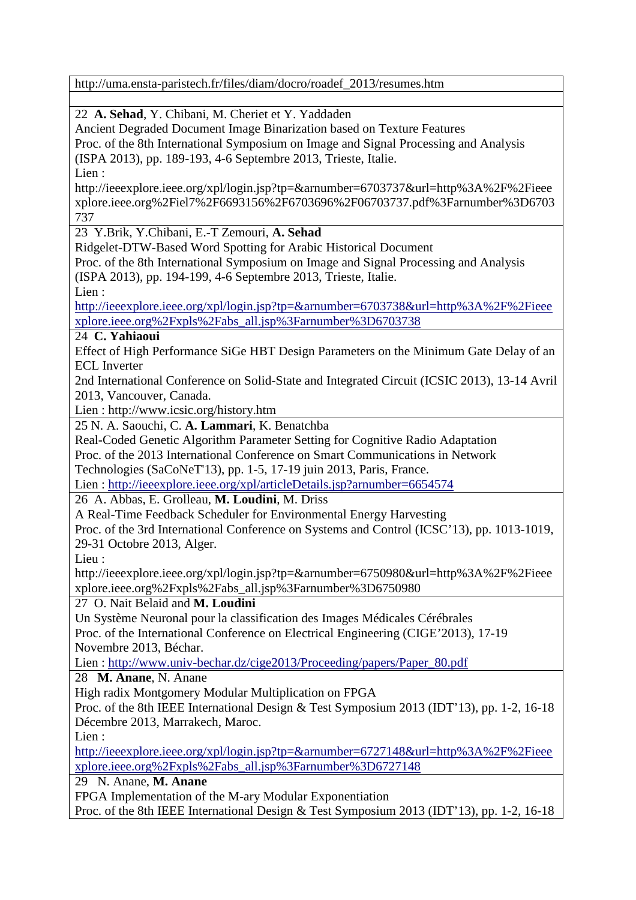http://uma.ensta-paristech.fr/files/diam/docro/roadef\_2013/resumes.htm

22 **A. Sehad**, Y. Chibani, M. Cheriet et Y. Yaddaden

Ancient Degraded Document Image Binarization based on Texture Features Proc. of the 8th International Symposium on Image and Signal Processing and Analysis

(ISPA 2013), pp. 189-193, 4-6 Septembre 2013, Trieste, Italie.

Lien :

http://ieeexplore.ieee.org/xpl/login.jsp?tp=&arnumber=6703737&url=http%3A%2F%2Fieee xplore.ieee.org%2Fiel7%2F6693156%2F6703696%2F06703737.pdf%3Farnumber%3D6703 737

23 Y.Brik, Y.Chibani, E.-T Zemouri, **A. Sehad**

Ridgelet-DTW-Based Word Spotting for Arabic Historical Document

Proc. of the 8th International Symposium on Image and Signal Processing and Analysis (ISPA 2013), pp. 194-199, 4-6 Septembre 2013, Trieste, Italie.

Lien :

http://ieeexplore.ieee.org/xpl/login.jsp?tp=&arnumber=6703738&url=http%3A%2F%2Fieee xplore.ieee.org%2Fxpls%2Fabs\_all.jsp%3Farnumber%3D6703738

## 24 **C. Yahiaoui**

Effect of High Performance SiGe HBT Design Parameters on the Minimum Gate Delay of an ECL Inverter

2nd International Conference on Solid-State and Integrated Circuit (ICSIC 2013), 13-14 Avril 2013, Vancouver, Canada.

Lien : http://www.icsic.org/history.htm

25 N. A. Saouchi, C. **A. Lammari**, K. Benatchba

Real-Coded Genetic Algorithm Parameter Setting for Cognitive Radio Adaptation Proc. of the 2013 International Conference on Smart Communications in Network Technologies (SaCoNeT'13), pp. 1-5, 17-19 juin 2013, Paris, France.

Lien : http://ieeexplore.ieee.org/xpl/articleDetails.jsp?arnumber=6654574

26 A. Abbas, E. Grolleau, **M. Loudini**, M. Driss

A Real-Time Feedback Scheduler for Environmental Energy Harvesting

Proc. of the 3rd International Conference on Systems and Control (ICSC'13), pp. 1013-1019, 29-31 Octobre 2013, Alger.

Lieu :

http://ieeexplore.ieee.org/xpl/login.jsp?tp=&arnumber=6750980&url=http%3A%2F%2Fieee xplore.ieee.org%2Fxpls%2Fabs\_all.jsp%3Farnumber%3D6750980

27 O. Nait Belaid and **M. Loudini**

Un Système Neuronal pour la classification des Images Médicales Cérébrales Proc. of the International Conference on Electrical Engineering (CIGE'2013), 17-19

Novembre 2013, Béchar.

Lien : http://www.univ-bechar.dz/cige2013/Proceeding/papers/Paper\_80.pdf

28 **M. Anane**, N. Anane

High radix Montgomery Modular Multiplication on FPGA

Proc. of the 8th IEEE International Design & Test Symposium 2013 (IDT'13), pp. 1-2, 16-18 Décembre 2013, Marrakech, Maroc.

Lien :

http://ieeexplore.ieee.org/xpl/login.jsp?tp=&arnumber=6727148&url=http%3A%2F%2Fieee xplore.ieee.org%2Fxpls%2Fabs\_all.jsp%3Farnumber%3D6727148

29 N. Anane, **M. Anane**

FPGA Implementation of the M-ary Modular Exponentiation Proc. of the 8th IEEE International Design & Test Symposium 2013 (IDT'13), pp. 1-2, 16-18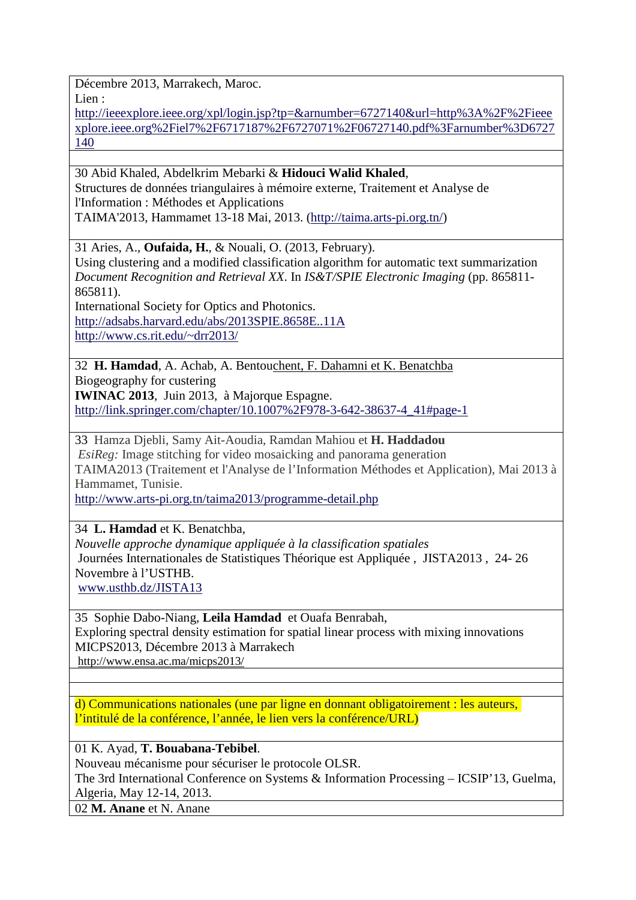Décembre 2013, Marrakech, Maroc.

Lien :

http://ieeexplore.ieee.org/xpl/login.jsp?tp=&arnumber=6727140&url=http%3A%2F%2Fieee xplore.ieee.org%2Fiel7%2F6717187%2F6727071%2F06727140.pdf%3Farnumber%3D6727 140

30 Abid Khaled, Abdelkrim Mebarki & **Hidouci Walid Khaled**, Structures de données triangulaires à mémoire externe, Traitement et Analyse de l'Information : Méthodes et Applications

TAIMA'2013, Hammamet 13-18 Mai, 2013. (http://taima.arts-pi.org.tn/)

31 Aries, A., **Oufaida, H.**, & Nouali, O. (2013, February).

Using clustering and a modified classification algorithm for automatic text summarization *Document Recognition and Retrieval XX*. In *IS&T/SPIE Electronic Imaging* (pp. 865811- 865811).

International Society for Optics and Photonics. http://adsabs.harvard.edu/abs/2013SPIE.8658E..11A http://www.cs.rit.edu/~drr2013/

32 **H. Hamdad**, A. Achab, A. Bentouchent, F. Dahamni et K. Benatchba Biogeography for custering

**IWINAC 2013**, Juin 2013, à Majorque Espagne. http://link.springer.com/chapter/10.1007%2F978-3-642-38637-4\_41#page-1

33 Hamza Djebli, Samy Ait-Aoudia, Ramdan Mahiou et **H. Haddadou** *EsiReg:* Image stitching for video mosaicking and panorama generation TAIMA2013 (Traitement et l'Analyse de l'Information Méthodes et Application), Mai 2013 à Hammamet, Tunisie.

http://www.arts-pi.org.tn/taima2013/programme-detail.php

34 **L. Hamdad** et K. Benatchba,

*Nouvelle approche dynamique appliquée à la classification spatiales*  Journées Internationales de Statistiques Théorique est Appliquée , JISTA2013 , 24- 26 Novembre à l'USTHB.

www.usthb.dz/JISTA13

35 Sophie Dabo-Niang, **Leila Hamdad** et Ouafa Benrabah, Exploring spectral density estimation for spatial linear process with mixing innovations MICPS2013, Décembre 2013 à Marrakech http://www.ensa.ac.ma/micps2013/

d) Communications nationales (une par ligne en donnant obligatoirement : les auteurs, l'intitulé de la conférence, l'année, le lien vers la conférence/URL)

01 K. Ayad, **T. Bouabana-Tebibel**.

Nouveau mécanisme pour sécuriser le protocole OLSR.

The 3rd International Conference on Systems & Information Processing – ICSIP'13, Guelma, Algeria, May 12-14, 2013.

02 **M. Anane** et N. Anane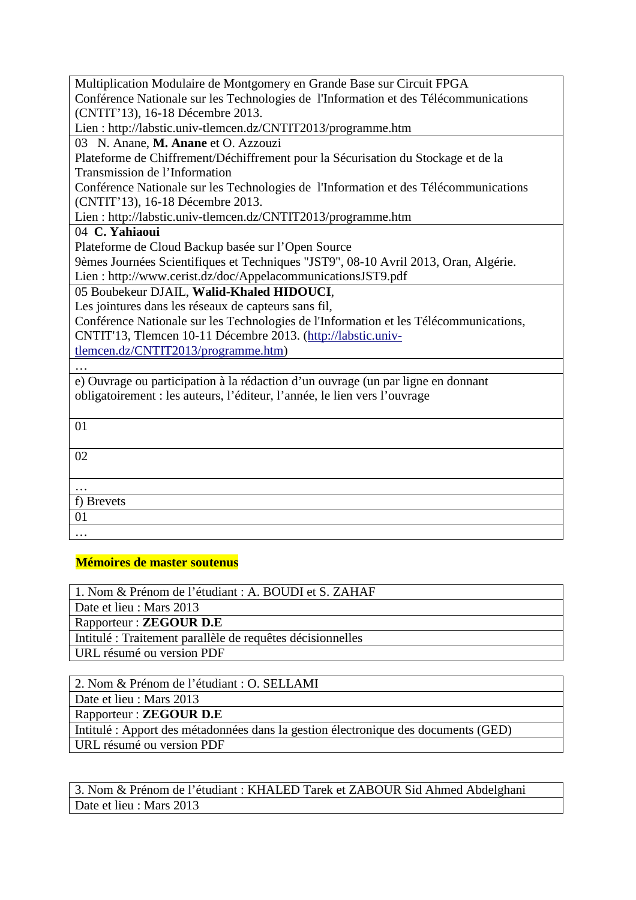| Multiplication Modulaire de Montgomery en Grande Base sur Circuit FPGA                |
|---------------------------------------------------------------------------------------|
| Conférence Nationale sur les Technologies de l'Information et des Télécommunications  |
| (CNTIT'13), 16-18 Décembre 2013.                                                      |
| Lien: http://labstic.univ-tlemcen.dz/CNTIT2013/programme.htm                          |
| 03 N. Anane, M. Anane et O. Azzouzi                                                   |
| Plateforme de Chiffrement/Déchiffrement pour la Sécurisation du Stockage et de la     |
| Transmission de l'Information                                                         |
| Conférence Nationale sur les Technologies de l'Information et des Télécommunications  |
| (CNTIT'13), 16-18 Décembre 2013.                                                      |
| Lien: http://labstic.univ-tlemcen.dz/CNTIT2013/programme.htm                          |
| 04 C. Yahiaoui                                                                        |
| Plateforme de Cloud Backup basée sur l'Open Source                                    |
| 9èmes Journées Scientifiques et Techniques "JST9", 08-10 Avril 2013, Oran, Algérie.   |
| Lien: http://www.cerist.dz/doc/AppelacommunicationsJST9.pdf                           |
| 05 Boubekeur DJAIL, Walid-Khaled HIDOUCI,                                             |
| Les jointures dans les réseaux de capteurs sans fil,                                  |
| Conférence Nationale sur les Technologies de l'Information et les Télécommunications, |
| CNTIT'13, Tlemcen 10-11 Décembre 2013. (http://labstic.univ-                          |
| tlemcen.dz/CNTIT2013/programme.htm)                                                   |
|                                                                                       |
| e) Ouvrage ou participation à la rédaction d'un ouvrage (un par ligne en donnant      |
| obligatoirement : les auteurs, l'éditeur, l'année, le lien vers l'ouvrage             |
|                                                                                       |
| 01                                                                                    |
|                                                                                       |
| 02                                                                                    |
|                                                                                       |
|                                                                                       |
| f) Brevets                                                                            |
| 01                                                                                    |
|                                                                                       |
|                                                                                       |

## **Mémoires de master soutenus**

| 1. Nom & Prénom de l'étudiant : A. BOUDI et S. ZAHAF       |
|------------------------------------------------------------|
| Date et lieu : Mars 2013                                   |
| Rapporteur : <b>ZEGOUR D.E</b>                             |
| Intitulé : Traitement parallèle de requêtes décisionnelles |
| URL résumé ou version PDF                                  |

2. Nom & Prénom de l'étudiant : O. SELLAMI

Date et lieu : Mars 2013

Rapporteur : **ZEGOUR D.E**

Intitulé : Apport des métadonnées dans la gestion électronique des documents (GED) URL résumé ou version PDF

3. Nom & Prénom de l'étudiant : KHALED Tarek et ZABOUR Sid Ahmed Abdelghani Date et lieu : Mars 2013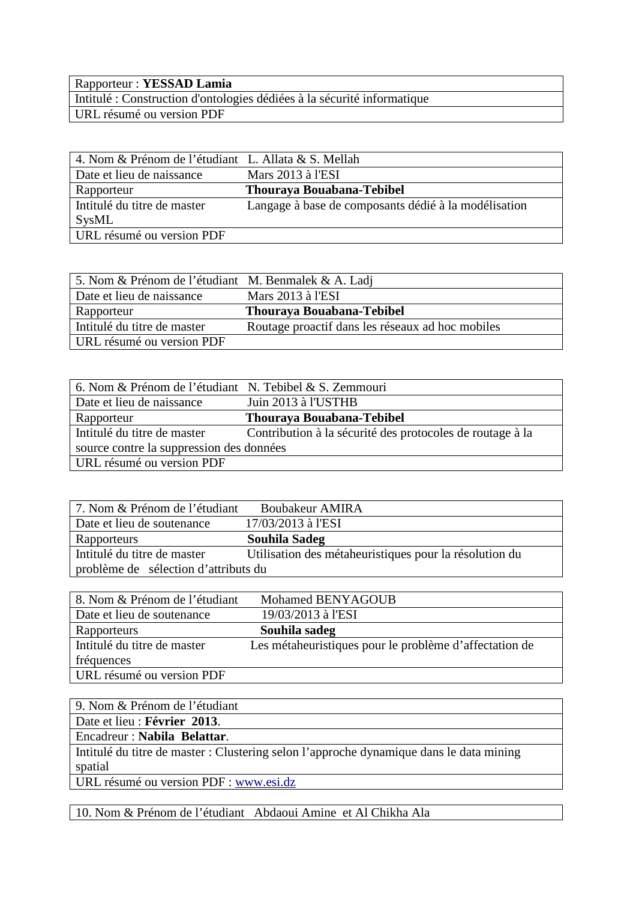# Rapporteur : **YESSAD Lamia**

Intitulé : Construction d'ontologies dédiées à la sécurité informatique URL résumé ou version PDF

| 4. Nom & Prénom de l'étudiant L. Allata & S. Mellah |                                                      |
|-----------------------------------------------------|------------------------------------------------------|
| Date et lieu de naissance                           | Mars $2013$ à l'ESI                                  |
| Rapporteur                                          | <b>Thouraya Bouabana-Tebibel</b>                     |
| Intitulé du titre de master                         | Langage à base de composants dédié à la modélisation |
| SysML                                               |                                                      |
| URL résumé ou version PDF                           |                                                      |

| 5. Nom & Prénom de l'étudiant M. Benmalek & A. Ladj |                                                  |
|-----------------------------------------------------|--------------------------------------------------|
| Date et lieu de naissance                           | Mars 2013 à l'ESI                                |
| Rapporteur                                          | Thouraya Bouabana-Tebibel                        |
| Intitulé du titre de master                         | Routage proactif dans les réseaux ad hoc mobiles |
| URL résumé ou version PDF                           |                                                  |

| 6. Nom & Prénom de l'étudiant N. Tebibel & S. Zemmouri |                                                           |
|--------------------------------------------------------|-----------------------------------------------------------|
| Date et lieu de naissance                              | Juin 2013 à l'USTHB                                       |
| Rapporteur                                             | Thouraya Bouabana-Tebibel                                 |
| Intitulé du titre de master                            | Contribution à la sécurité des protocoles de routage à la |
| source contre la suppression des données               |                                                           |
| URL résumé ou version PDF                              |                                                           |

| 7. Nom & Prénom de l'étudiant        | <b>Boubakeur AMIRA</b>                                 |
|--------------------------------------|--------------------------------------------------------|
| Date et lieu de soutenance           | 17/03/2013 à l'ESI                                     |
| Rapporteurs                          | Souhila Sadeg                                          |
| Intitulé du titre de master          | Utilisation des métaheuristiques pour la résolution du |
| problème de sélection d'attributs du |                                                        |

| 8. Nom & Prénom de l'étudiant | Mohamed BENYAGOUB                                      |
|-------------------------------|--------------------------------------------------------|
| Date et lieu de soutenance    | 19/03/2013 à l'ESI                                     |
| Rapporteurs                   | Souhila sadeg                                          |
| Intitulé du titre de master   | Les métaheuristiques pour le problème d'affectation de |
| fréquences                    |                                                        |
| URL résumé ou version PDF     |                                                        |

9. Nom & Prénom de l'étudiant

Date et lieu : **Février 2013**.

Encadreur : **Nabila Belattar**.

Intitulé du titre de master : Clustering selon l'approche dynamique dans le data mining spatial

URL résumé ou version PDF : www.esi.dz

10. Nom & Prénom de l'étudiant Abdaoui Amine et Al Chikha Ala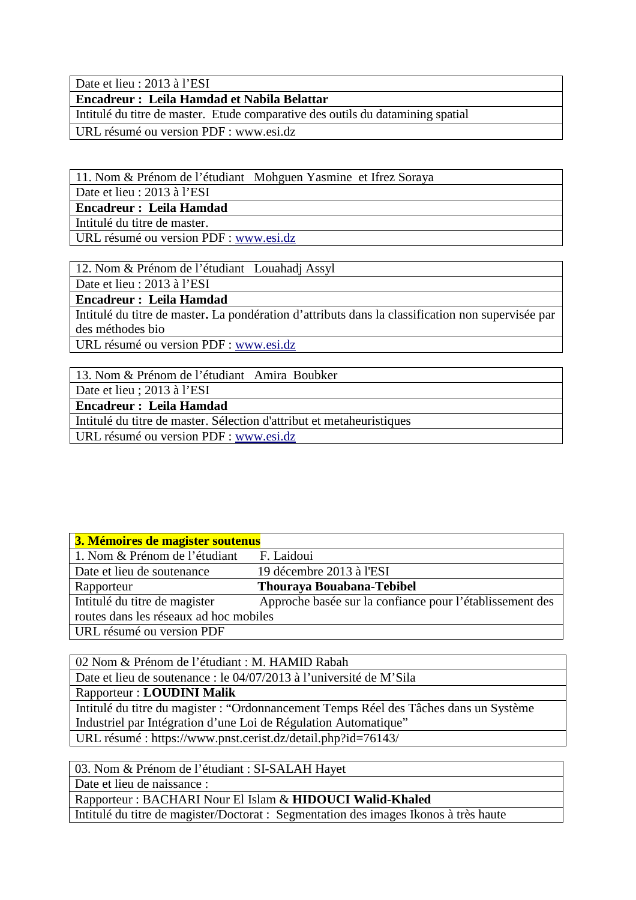Date et lieu : 2013 à l'ESI

**Encadreur : Leila Hamdad et Nabila Belattar** 

Intitulé du titre de master. Etude comparative des outils du datamining spatial

URL résumé ou version PDF : www.esi.dz

11. Nom & Prénom de l'étudiant Mohguen Yasmine et Ifrez Soraya

Date et lieu : 2013 à l'ESI

**Encadreur : Leila Hamdad**

Intitulé du titre de master.

URL résumé ou version PDF : www.esi.dz

12. Nom & Prénom de l'étudiant Louahadj Assyl

Date et lieu : 2013 à l'ESI

**Encadreur : Leila Hamdad**

Intitulé du titre de master**.** La pondération d'attributs dans la classification non supervisée par des méthodes bio

URL résumé ou version PDF : www.esi.dz

13. Nom & Prénom de l'étudiant Amira Boubker

Date et lieu ; 2013 à l'ESI

**Encadreur : Leila Hamdad**

Intitulé du titre de master. Sélection d'attribut et metaheuristiques

URL résumé ou version PDF : www.esi.dz

| 3. Mémoires de magister soutenus       |                                                          |
|----------------------------------------|----------------------------------------------------------|
| 1. Nom & Prénom de l'étudiant          | F. Laidoui                                               |
| Date et lieu de soutenance             | 19 décembre 2013 à l'ESI                                 |
| Rapporteur                             | <b>Thouraya Bouabana-Tebibel</b>                         |
| Intitulé du titre de magister          | Approche basée sur la confiance pour l'établissement des |
| routes dans les réseaux ad hoc mobiles |                                                          |
| URL résumé ou version PDF              |                                                          |

02 Nom & Prénom de l'étudiant : M. HAMID Rabah Date et lieu de soutenance : le 04/07/2013 à l'université de M'Sila Rapporteur : **LOUDINI Malik** Intitulé du titre du magister : "Ordonnancement Temps Réel des Tâches dans un Système Industriel par Intégration d'une Loi de Régulation Automatique" URL résumé : https://www.pnst.cerist.dz/detail.php?id=76143/

03. Nom & Prénom de l'étudiant : SI-SALAH Hayet

Date et lieu de naissance :

Rapporteur : BACHARI Nour El Islam & **HIDOUCI Walid-Khaled** Intitulé du titre de magister/Doctorat : Segmentation des images Ikonos à très haute